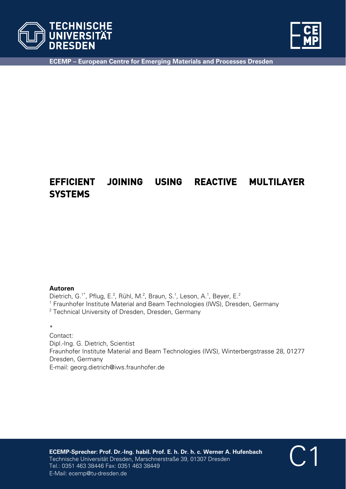



C1

**ECEMP – European Centre for Emerging Materials and Processes Dresden** 

## **EFFICIENT JOINING USING REACTIVE MULTILAYER SYSTEMS**

#### **Autoren**

Dietrich, G.<sup>1\*</sup>, Pflug, E.<sup>2</sup>, Rühl, M.<sup>2</sup>, Braun, S.<sup>1</sup>, Leson, A.<sup>1</sup>, Beyer, E.<sup>2</sup> <sup>1</sup> Fraunhofer Institute Material and Beam Technologies (IWS), Dresden, Germany <sup>2</sup> Technical University of Dresden, Dresden, Germany

#### \*

Contact: Dipl.-Ing. G. Dietrich, Scientist Fraunhofer Institute Material and Beam Technologies (IWS), Winterbergstrasse 28, 01277 Dresden, Germany E-mail: georg.dietrich@iws.fraunhofer.de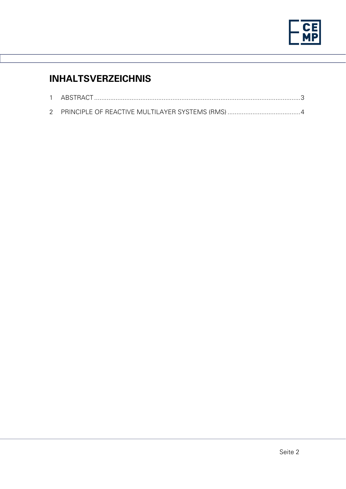

# **INHALTSVERZEICHNIS**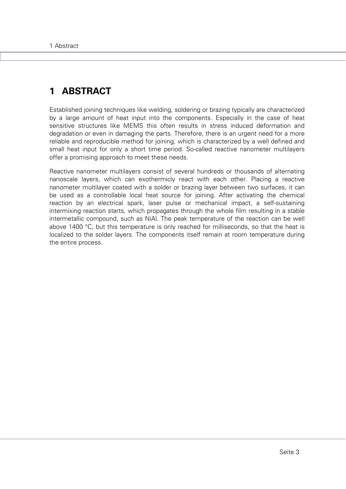## **1 ABSTRACT**

Established joining techniques like welding, soldering or brazing typically are characterized by a large amount of heat input into the components. Especially in the case of heat sensitive structures like MEMS this often results in stress induced deformation and degradation or even in damaging the parts. Therefore, there is an urgent need for a more reliable and reproducible method for joining, which is characterized by a well defined and small heat input for only a short time period. So-called reactive nanometer multilayers offer a promising approach to meet these needs.

Reactive nanometer multilayers consist of several hundreds or thousands of alternating nanoscale layers, which can exothermicly react with each other. Placing a reactive nanometer multilayer coated with a solder or brazing layer between two surfaces, it can be used as a controllable local heat source for joining. After activating the chemical reaction by an electrical spark, laser pulse or mechanical impact, a self-sustaining intermixing reaction starts, which propagates through the whole film resulting in a stable intermetallic compound, such as NiAl. The peak temperature of the reaction can be well above 1400 °C, but this temperature is only reached for milliseconds, so that the heat is localized to the solder layers. The components itself remain at room temperature during the entire process.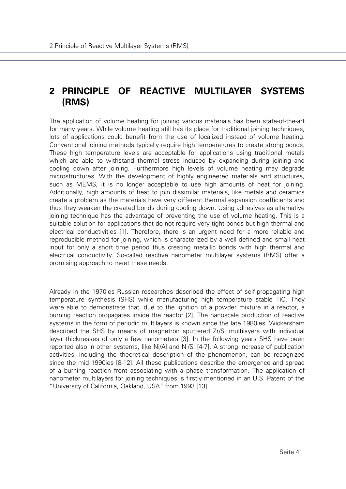### **2 PRINCIPLE OF REACTIVE MULTILAYER SYSTEMS (RMS)**

The application of volume heating for joining various materials has been state-of-the-art for many years. While volume heating still has its place for traditional joining techniques, lots of applications could benefit from the use of localized instead of volume heating. Conventional joining methods typically require high temperatures to create strong bonds. These high temperature levels are acceptable for applications using traditional metals which are able to withstand thermal stress induced by expanding during joining and cooling down after joining. Furthermore high levels of volume heating may degrade microstructures. With the development of highly engineered materials and structures, such as MEMS, it is no longer acceptable to use high amounts of heat for joining. Additionally, high amounts of heat to join dissimilar materials, like metals and ceramics create a problem as the materials have very different thermal expansion coefficients and thus they weaken the created bonds during cooling down. Using adhesives as alternative joining technique has the advantage of preventing the use of volume heating. This is a suitable solution for applications that do not require very tight bonds but high thermal and electrical conductivities [1]. Therefore, there is an urgent need for a more reliable and reproducible method for joining, which is characterized by a well defined and small heat input for only a short time period thus creating metallic bonds with high thermal and electrical conductivity. So-called reactive nanometer multilayer systems (RMS) offer a promising approach to meet these needs.

Already in the 1970ies Russian researches described the effect of self-propagating high temperature synthesis (SHS) while manufacturing high temperature stable TiC. They were able to demonstrate that, due to the ignition of a powder mixture in a reactor, a burning reaction propagates inside the reactor [2]. The nanoscale production of reactive systems in the form of periodic multilayers is known since the late 1980ies. Wickersham described the SHS by means of magnetron sputtered Zr/Si multilayers with individual layer thicknesses of only a few nanometers [3]. In the following years SHS have been reported also in other systems, like Ni/Al and Ni/Si [4-7]. A strong increase of publication activities, including the theoretical description of the phenomenon, can be recognized since the mid 1990ies [8-12]. All these publications describe the emergence and spread of a burning reaction front associating with a phase transformation. The application of nanometer multilayers for joining techniques is firstly mentioned in an U.S. Patent of the "University of California, Oakland, USA" from 1993 [13].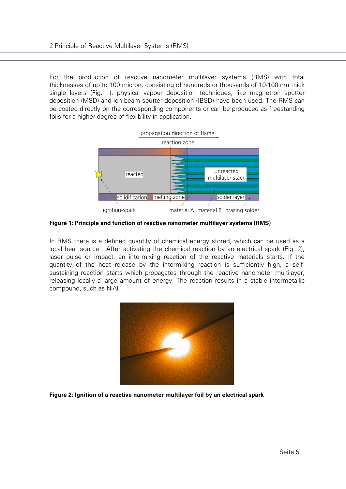For the production of reactive nanometer multilayer systems (RMS) with total thicknesses of up to 100 micron, consisting of hundreds or thousands of 10-100 nm thick single layers (Fig. 1), physical vapour deposition techniques, like magnetron sputter deposition (MSD) and ion beam sputter deposition (IBSD) have been used. The RMS can be coated directly on the corresponding components or can be produced as freestanding foils for a higher degree of flexibility in application.



**Figure 1: Principle and function of reactive nanometer multilayer systems (RMS)** 

In RMS there is a defined quantity of chemical energy stored, which can be used as a local heat source. After activating the chemical reaction by an electrical spark (Fig. 2), laser pulse or impact, an intermixing reaction of the reactive materials starts. If the quantity of the heat release by the intermixing reaction is sufficiently high, a selfsustaining reaction starts which propagates through the reactive nanometer multilayer, releasing locally a large amount of energy. The reaction results in a stable intermetallic compound, such as NiAl.



**Figure 2: Ignition of a reactive nanometer multilayer foil by an electrical spark**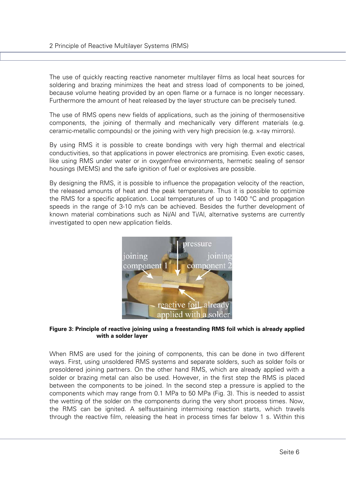The use of quickly reacting reactive nanometer multilayer films as local heat sources for soldering and brazing minimizes the heat and stress load of components to be joined, because volume heating provided by an open flame or a furnace is no longer necessary. Furthermore the amount of heat released by the layer structure can be precisely tuned.

The use of RMS opens new fields of applications, such as the joining of thermosensitive components, the joining of thermally and mechanically very different materials (e.g. ceramic-metallic compounds) or the joining with very high precision (e.g. x-ray mirrors).

By using RMS it is possible to create bondings with very high thermal and electrical conductivities, so that applications in power electronics are promising. Even exotic cases, like using RMS under water or in oxygenfree environments, hermetic sealing of sensor housings (MEMS) and the safe ignition of fuel or explosives are possible.

By designing the RMS, it is possible to influence the propagation velocity of the reaction, the released amounts of heat and the peak temperature. Thus it is possible to optimize the RMS for a specific application. Local temperatures of up to 1400 °C and propagation speeds in the range of 3-10 m/s can be achieved. Besides the further development of known material combinations such as Ni/Al and Ti/Al, alternative systems are currently investigated to open new application fields.



#### **Figure 3: Principle of reactive joining using a freestanding RMS foil which is already applied with a solder layer**

When RMS are used for the joining of components, this can be done in two different ways. First, using unsoldered RMS systems and separate solders, such as solder foils or presoldered joining partners. On the other hand RMS, which are already applied with a solder or brazing metal can also be used. However, in the first step the RMS is placed between the components to be joined. In the second step a pressure is applied to the components which may range from 0.1 MPa to 50 MPa (Fig. 3). This is needed to assist the wetting of the solder on the components during the very short process times. Now, the RMS can be ignited. A selfsustaining intermixing reaction starts, which travels through the reactive film, releasing the heat in process times far below 1 s. Within this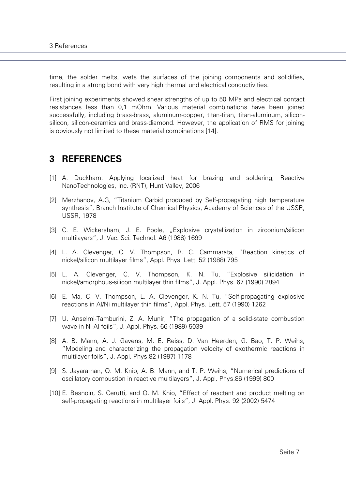time, the solder melts, wets the surfaces of the joining components and solidifies, resulting in a strong bond with very high thermal und electrical conductivities.

First joining experiments showed shear strengths of up to 50 MPa and electrical contact resistances less than 0,1 mOhm. Various material combinations have been joined successfully, including brass-brass, aluminum-copper, titan-titan, titan-aluminum, siliconsilicon, silicon-ceramics and brass-diamond. However, the application of RMS for joining is obviously not limited to these material combinations [14].

### **3 REFERENCES**

- [1] A. Duckham: Applying localized heat for brazing and soldering, Reactive NanoTechnologies, Inc. (RNT), Hunt Valley, 2006
- [2] Merzhanov, A.G, "Titanium Carbid produced by Self-propagating high temperature synthesis", Branch Institute of Chemical Physics, Academy of Sciences of the USSR, USSR, 1978
- [3] C. E. Wickersham, J. E. Poole, "Explosive crystallization in zirconium/silicon multilayers", J. Vac. Sci. Technol. A6 (1988) 1699
- [4] L. A. Clevenger, C. V. Thompson, R. C. Cammarata, "Reaction kinetics of nickel/silicon multilayer films", Appl. Phys. Lett. 52 (1988) 795
- [5] L. A. Clevenger, C. V. Thompson, K. N. Tu, "Explosive silicidation in nickel/amorphous-silicon multilayer thin films", J. Appl. Phys. 67 (1990) 2894
- [6] E. Ma, C. V. Thompson, L. A. Clevenger, K. N. Tu, "Self-propagating explosive reactions in Al/Ni multilayer thin films", Appl. Phys. Lett. 57 (1990) 1262
- [7] U. Anselmi-Tamburini, Z. A. Munir, "The propagation of a solid-state combustion wave in Ni-Al foils", J. Appl. Phys. 66 (1989) 5039
- [8] A. B. Mann, A. J. Gavens, M. E. Reiss, D. Van Heerden, G. Bao, T. P. Weihs, "Modeling and characterizing the propagation velocity of exothermic reactions in multilayer foils", J. Appl. Phys.82 (1997) 1178
- [9] S. Jayaraman, O. M. Knio, A. B. Mann, and T. P. Weihs, "Numerical predictions of oscillatory combustion in reactive multilayers", J. Appl. Phys.86 (1999) 800
- [10] E. Besnoin, S. Cerutti, and O. M. Knio, "Effect of reactant and product melting on self-propagating reactions in multilayer foils", J. Appl. Phys. 92 (2002) 5474